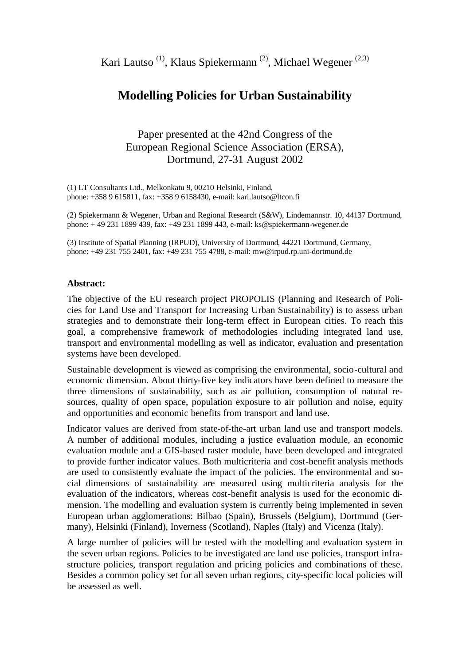Kari Lautso<sup>(1)</sup>, Klaus Spiekermann<sup>(2)</sup>, Michael Wegener<sup>(2,3)</sup>

# **Modelling Policies for Urban Sustainability**

Paper presented at the 42nd Congress of the European Regional Science Association (ERSA), Dortmund, 27-31 August 2002

(1) LT Consultants Ltd., Melkonkatu 9, 00210 Helsinki, Finland, phone: +358 9 615811, fax: +358 9 6158430, e-mail: kari.lautso@ltcon.fi

(2) Spiekermann & Wegener, Urban and Regional Research (S&W), Lindemannstr. 10, 44137 Dortmund, phone: + 49 231 1899 439, fax: +49 231 1899 443, e-mail: ks@spiekermann-wegener.de

(3) Institute of Spatial Planning (IRPUD), University of Dortmund, 44221 Dortmund, Germany, phone: +49 231 755 2401, fax: +49 231 755 4788, e-mail: mw@irpud.rp.uni-dortmund.de

#### **Abstract:**

The objective of the EU research project PROPOLIS (Planning and Research of Policies for Land Use and Transport for Increasing Urban Sustainability) is to assess urban strategies and to demonstrate their long-term effect in European cities. To reach this goal, a comprehensive framework of methodologies including integrated land use, transport and environmental modelling as well as indicator, evaluation and presentation systems have been developed.

Sustainable development is viewed as comprising the environmental, socio-cultural and economic dimension. About thirty-five key indicators have been defined to measure the three dimensions of sustainability, such as air pollution, consumption of natural resources, quality of open space, population exposure to air pollution and noise, equity and opportunities and economic benefits from transport and land use.

Indicator values are derived from state-of-the-art urban land use and transport models. A number of additional modules, including a justice evaluation module, an economic evaluation module and a GIS-based raster module, have been developed and integrated to provide further indicator values. Both multicriteria and cost-benefit analysis methods are used to consistently evaluate the impact of the policies. The environmental and social dimensions of sustainability are measured using multicriteria analysis for the evaluation of the indicators, whereas cost-benefit analysis is used for the economic dimension. The modelling and evaluation system is currently being implemented in seven European urban agglomerations: Bilbao (Spain), Brussels (Belgium), Dortmund (Germany), Helsinki (Finland), Inverness (Scotland), Naples (Italy) and Vicenza (Italy).

A large number of policies will be tested with the modelling and evaluation system in the seven urban regions. Policies to be investigated are land use policies, transport infrastructure policies, transport regulation and pricing policies and combinations of these. Besides a common policy set for all seven urban regions, city-specific local policies will be assessed as well.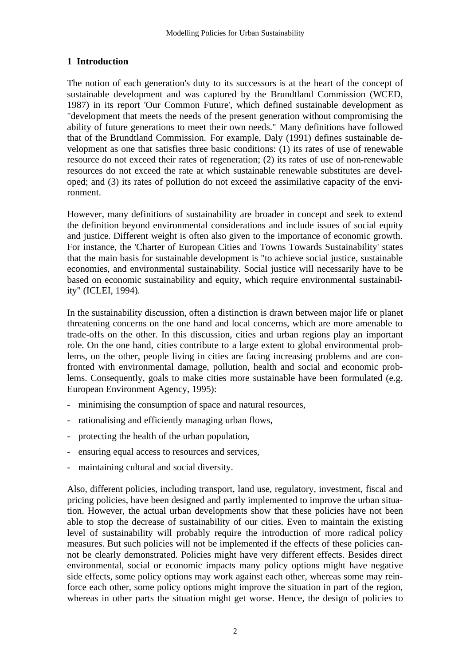# **1 Introduction**

The notion of each generation's duty to its successors is at the heart of the concept of sustainable development and was captured by the Brundtland Commission (WCED, 1987) in its report 'Our Common Future', which defined sustainable development as "development that meets the needs of the present generation without compromising the ability of future generations to meet their own needs." Many definitions have followed that of the Brundtland Commission. For example, Daly (1991) defines sustainable development as one that satisfies three basic conditions: (1) its rates of use of renewable resource do not exceed their rates of regeneration; (2) its rates of use of non-renewable resources do not exceed the rate at which sustainable renewable substitutes are developed; and (3) its rates of pollution do not exceed the assimilative capacity of the environment.

However, many definitions of sustainability are broader in concept and seek to extend the definition beyond environmental considerations and include issues of social equity and justice. Different weight is often also given to the importance of economic growth. For instance, the 'Charter of European Cities and Towns Towards Sustainability' states that the main basis for sustainable development is "to achieve social justice, sustainable economies, and environmental sustainability. Social justice will necessarily have to be based on economic sustainability and equity, which require environmental sustainability" (ICLEI, 1994).

In the sustainability discussion, often a distinction is drawn between major life or planet threatening concerns on the one hand and local concerns, which are more amenable to trade-offs on the other. In this discussion, cities and urban regions play an important role. On the one hand, cities contribute to a large extent to global environmental problems, on the other, people living in cities are facing increasing problems and are confronted with environmental damage, pollution, health and social and economic problems. Consequently, goals to make cities more sustainable have been formulated (e.g. European Environment Agency, 1995):

- minimising the consumption of space and natural resources,
- rationalising and efficiently managing urban flows,
- protecting the health of the urban population,
- ensuring equal access to resources and services,
- maintaining cultural and social diversity.

Also, different policies, including transport, land use, regulatory, investment, fiscal and pricing policies, have been designed and partly implemented to improve the urban situation. However, the actual urban developments show that these policies have not been able to stop the decrease of sustainability of our cities. Even to maintain the existing level of sustainability will probably require the introduction of more radical policy measures. But such policies will not be implemented if the effects of these policies cannot be clearly demonstrated. Policies might have very different effects. Besides direct environmental, social or economic impacts many policy options might have negative side effects, some policy options may work against each other, whereas some may reinforce each other, some policy options might improve the situation in part of the region, whereas in other parts the situation might get worse. Hence, the design of policies to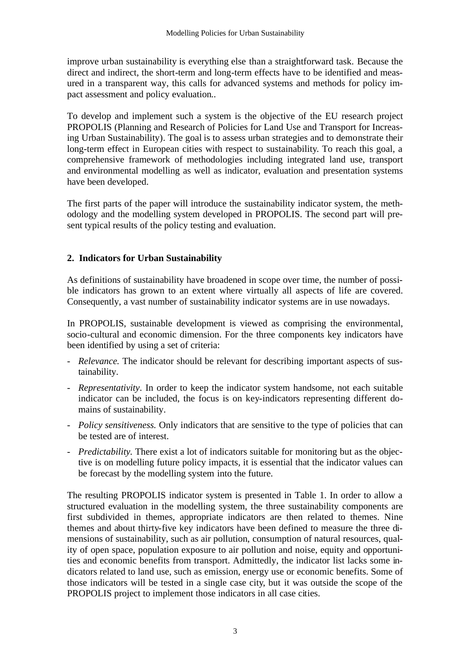improve urban sustainability is everything else than a straightforward task. Because the direct and indirect, the short-term and long-term effects have to be identified and measured in a transparent way, this calls for advanced systems and methods for policy impact assessment and policy evaluation..

To develop and implement such a system is the objective of the EU research project PROPOLIS (Planning and Research of Policies for Land Use and Transport for Increasing Urban Sustainability). The goal is to assess urban strategies and to demonstrate their long-term effect in European cities with respect to sustainability. To reach this goal, a comprehensive framework of methodologies including integrated land use, transport and environmental modelling as well as indicator, evaluation and presentation systems have been developed.

The first parts of the paper will introduce the sustainability indicator system, the methodology and the modelling system developed in PROPOLIS. The second part will present typical results of the policy testing and evaluation.

# **2. Indicators for Urban Sustainability**

As definitions of sustainability have broadened in scope over time, the number of possible indicators has grown to an extent where virtually all aspects of life are covered. Consequently, a vast number of sustainability indicator systems are in use nowadays.

In PROPOLIS, sustainable development is viewed as comprising the environmental, socio-cultural and economic dimension. For the three components key indicators have been identified by using a set of criteria:

- *Relevance.* The indicator should be relevant for describing important aspects of sustainability.
- *Representativity*. In order to keep the indicator system handsome, not each suitable indicator can be included, the focus is on key-indicators representing different domains of sustainability.
- *Policy sensitiveness.* Only indicators that are sensitive to the type of policies that can be tested are of interest.
- *Predictability.* There exist a lot of indicators suitable for monitoring but as the objective is on modelling future policy impacts, it is essential that the indicator values can be forecast by the modelling system into the future.

The resulting PROPOLIS indicator system is presented in Table 1. In order to allow a structured evaluation in the modelling system, the three sustainability components are first subdivided in themes, appropriate indicators are then related to themes. Nine themes and about thirty-five key indicators have been defined to measure the three dimensions of sustainability, such as air pollution, consumption of natural resources, quality of open space, population exposure to air pollution and noise, equity and opportunities and economic benefits from transport. Admittedly, the indicator list lacks some indicators related to land use, such as emission, energy use or economic benefits. Some of those indicators will be tested in a single case city, but it was outside the scope of the PROPOLIS project to implement those indicators in all case cities.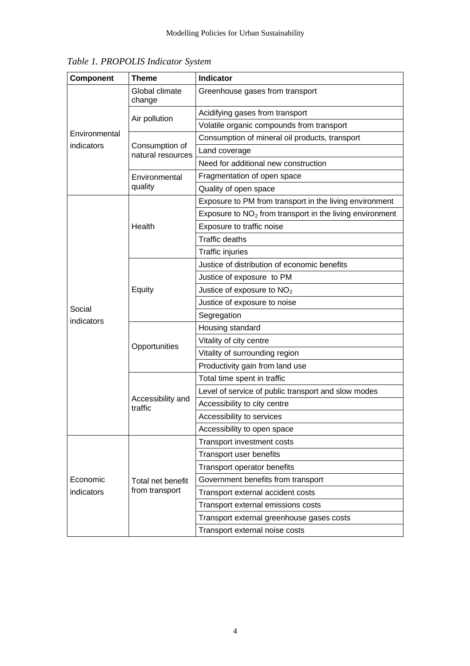| Component                   | <b>Theme</b>                        | Indicator                                                  |  |  |  |  |  |  |
|-----------------------------|-------------------------------------|------------------------------------------------------------|--|--|--|--|--|--|
| Environmental<br>indicators | Global climate<br>change            | Greenhouse gases from transport                            |  |  |  |  |  |  |
|                             |                                     | Acidifying gases from transport                            |  |  |  |  |  |  |
|                             | Air pollution                       | Volatile organic compounds from transport                  |  |  |  |  |  |  |
|                             | Consumption of<br>natural resources | Consumption of mineral oil products, transport             |  |  |  |  |  |  |
|                             |                                     | Land coverage                                              |  |  |  |  |  |  |
|                             |                                     | Need for additional new construction                       |  |  |  |  |  |  |
|                             | Environmental                       | Fragmentation of open space                                |  |  |  |  |  |  |
|                             | quality                             | Quality of open space                                      |  |  |  |  |  |  |
|                             | Health                              | Exposure to PM from transport in the living environment    |  |  |  |  |  |  |
|                             |                                     | Exposure to $NO2$ from transport in the living environment |  |  |  |  |  |  |
|                             |                                     | Exposure to traffic noise                                  |  |  |  |  |  |  |
|                             |                                     | <b>Traffic deaths</b>                                      |  |  |  |  |  |  |
|                             |                                     | <b>Traffic injuries</b>                                    |  |  |  |  |  |  |
|                             | Equity                              | Justice of distribution of economic benefits               |  |  |  |  |  |  |
|                             |                                     | Justice of exposure to PM                                  |  |  |  |  |  |  |
|                             |                                     | Justice of exposure to $NO2$                               |  |  |  |  |  |  |
| Social                      |                                     | Justice of exposure to noise                               |  |  |  |  |  |  |
| indicators                  |                                     | Segregation                                                |  |  |  |  |  |  |
|                             | Opportunities                       | Housing standard                                           |  |  |  |  |  |  |
|                             |                                     | Vitality of city centre                                    |  |  |  |  |  |  |
|                             |                                     | Vitality of surrounding region                             |  |  |  |  |  |  |
|                             |                                     | Productivity gain from land use                            |  |  |  |  |  |  |
|                             | Accessibility and<br>traffic        | Total time spent in traffic                                |  |  |  |  |  |  |
|                             |                                     | Level of service of public transport and slow modes        |  |  |  |  |  |  |
|                             |                                     | Accessibility to city centre                               |  |  |  |  |  |  |
|                             |                                     | Accessibility to services                                  |  |  |  |  |  |  |
|                             |                                     | Accessibility to open space                                |  |  |  |  |  |  |
|                             | Total net benefit<br>from transport | Transport investment costs                                 |  |  |  |  |  |  |
| Economic<br>indicators      |                                     | Transport user benefits                                    |  |  |  |  |  |  |
|                             |                                     | Transport operator benefits                                |  |  |  |  |  |  |
|                             |                                     | Government benefits from transport                         |  |  |  |  |  |  |
|                             |                                     | Transport external accident costs                          |  |  |  |  |  |  |
|                             |                                     | Transport external emissions costs                         |  |  |  |  |  |  |
|                             |                                     | Transport external greenhouse gases costs                  |  |  |  |  |  |  |
|                             |                                     | Transport external noise costs                             |  |  |  |  |  |  |

*Table 1. PROPOLIS Indicator System*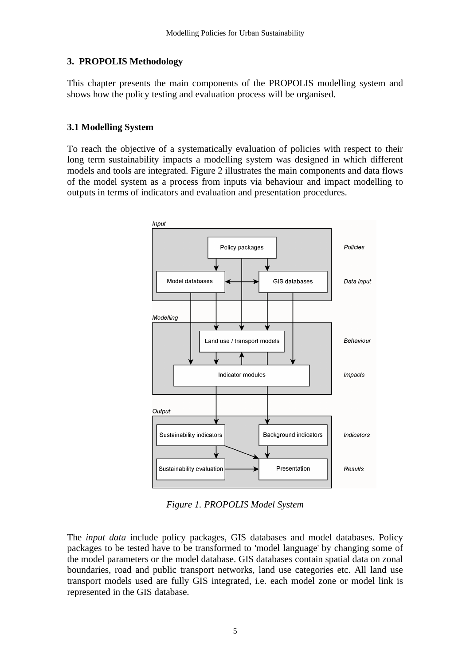#### **3. PROPOLIS Methodology**

This chapter presents the main components of the PROPOLIS modelling system and shows how the policy testing and evaluation process will be organised.

#### **3.1 Modelling System**

To reach the objective of a systematically evaluation of policies with respect to their long term sustainability impacts a modelling system was designed in which different models and tools are integrated. Figure 2 illustrates the main components and data flows of the model system as a process from inputs via behaviour and impact modelling to outputs in terms of indicators and evaluation and presentation procedures.



*Figure 1. PROPOLIS Model System*

The *input data* include policy packages, GIS databases and model databases. Policy packages to be tested have to be transformed to 'model language' by changing some of the model parameters or the model database. GIS databases contain spatial data on zonal boundaries, road and public transport networks, land use categories etc. All land use transport models used are fully GIS integrated, i.e. each model zone or model link is represented in the GIS database.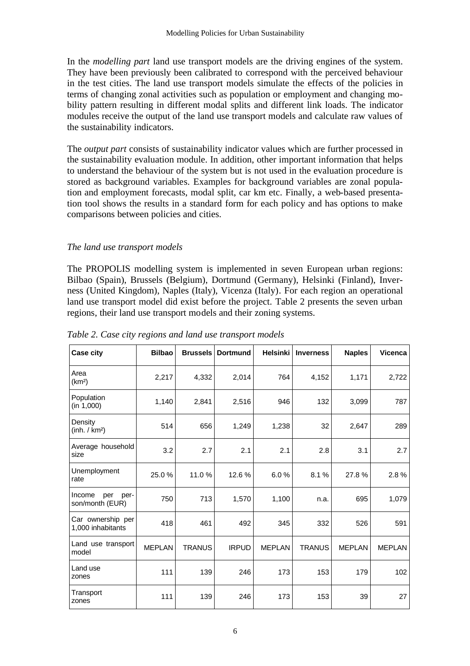In the *modelling part* land use transport models are the driving engines of the system. They have been previously been calibrated to correspond with the perceived behaviour in the test cities. The land use transport models simulate the effects of the policies in terms of changing zonal activities such as population or employment and changing mobility pattern resulting in different modal splits and different link loads. The indicator modules receive the output of the land use transport models and calculate raw values of the sustainability indicators.

The *output part* consists of sustainability indicator values which are further processed in the sustainability evaluation module. In addition, other important information that helps to understand the behaviour of the system but is not used in the evaluation procedure is stored as background variables. Examples for background variables are zonal population and employment forecasts, modal split, car km etc. Finally, a web-based presentation tool shows the results in a standard form for each policy and has options to make comparisons between policies and cities.

### *The land use transport models*

The PROPOLIS modelling system is implemented in seven European urban regions: Bilbao (Spain), Brussels (Belgium), Dortmund (Germany), Helsinki (Finland), Inverness (United Kingdom), Naples (Italy), Vicenza (Italy). For each region an operational land use transport model did exist before the project. Table 2 presents the seven urban regions, their land use transport models and their zoning systems.

| <b>Case city</b>                         | <b>Bilbao</b> | <b>Brussels</b> | <b>Dortmund</b> | <b>Helsinki</b> | <b>Inverness</b> | <b>Naples</b> | <b>Vicenca</b> |
|------------------------------------------|---------------|-----------------|-----------------|-----------------|------------------|---------------|----------------|
| Area<br>(km <sup>2</sup> )               | 2,217         | 4,332           | 2,014           | 764             | 4,152            | 1,171         | 2,722          |
| Population<br>(in 1,000)                 | 1,140         | 2,841           | 2,516           | 946             | 132              | 3,099         | 787            |
| Density<br>(inh. / km <sup>2</sup> )     | 514           | 656             | 1,249           | 1,238           | 32               | 2,647         | 289            |
| Average household<br>size                | 3.2           | 2.7             | 2.1             | 2.1             | 2.8              | 3.1           | 2.7            |
| Unemployment<br>rate                     | 25.0%         | 11.0 %          | 12.6 %          | 6.0%            | 8.1%             | 27.8%         | 2.8%           |
| Income<br>per<br>per-<br>son/month (EUR) | 750           | 713             | 1,570           | 1,100           | n.a.             | 695           | 1,079          |
| Car ownership per<br>1,000 inhabitants   | 418           | 461             | 492             | 345             | 332              | 526           | 591            |
| Land use transport<br>model              | <b>MEPLAN</b> | <b>TRANUS</b>   | <b>IRPUD</b>    | <b>MEPLAN</b>   | <b>TRANUS</b>    | <b>MEPLAN</b> | <b>MEPLAN</b>  |
| Land use<br>zones                        | 111           | 139             | 246             | 173             | 153              | 179           | 102            |
| Transport<br>zones                       | 111           | 139             | 246             | 173             | 153              | 39            | 27             |

*Table 2. Case city regions and land use transport models*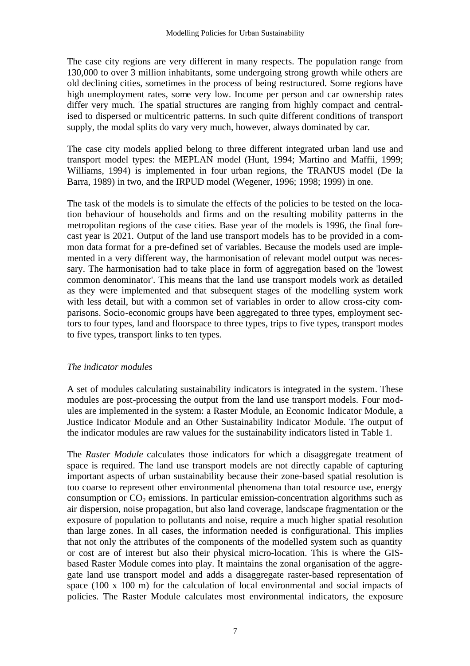The case city regions are very different in many respects. The population range from 130,000 to over 3 million inhabitants, some undergoing strong growth while others are old declining cities, sometimes in the process of being restructured. Some regions have high unemployment rates, some very low. Income per person and car ownership rates differ very much. The spatial structures are ranging from highly compact and centralised to dispersed or multicentric patterns. In such quite different conditions of transport supply, the modal splits do vary very much, however, always dominated by car.

The case city models applied belong to three different integrated urban land use and transport model types: the MEPLAN model (Hunt, 1994; Martino and Maffii, 1999; Williams, 1994) is implemented in four urban regions, the TRANUS model (De la Barra, 1989) in two, and the IRPUD model (Wegener, 1996; 1998; 1999) in one.

The task of the models is to simulate the effects of the policies to be tested on the location behaviour of households and firms and on the resulting mobility patterns in the metropolitan regions of the case cities. Base year of the models is 1996, the final forecast year is 2021. Output of the land use transport models has to be provided in a common data format for a pre-defined set of variables. Because the models used are implemented in a very different way, the harmonisation of relevant model output was necessary. The harmonisation had to take place in form of aggregation based on the 'lowest common denominator'. This means that the land use transport models work as detailed as they were implemented and that subsequent stages of the modelling system work with less detail, but with a common set of variables in order to allow cross-city comparisons. Socio-economic groups have been aggregated to three types, employment sectors to four types, land and floorspace to three types, trips to five types, transport modes to five types, transport links to ten types.

#### *The indicator modules*

A set of modules calculating sustainability indicators is integrated in the system. These modules are post-processing the output from the land use transport models. Four modules are implemented in the system: a Raster Module, an Economic Indicator Module, a Justice Indicator Module and an Other Sustainability Indicator Module. The output of the indicator modules are raw values for the sustainability indicators listed in Table 1.

The *Raster Module* calculates those indicators for which a disaggregate treatment of space is required. The land use transport models are not directly capable of capturing important aspects of urban sustainability because their zone-based spatial resolution is too coarse to represent other environmental phenomena than total resource use, energy consumption or  $CO<sub>2</sub>$  emissions. In particular emission-concentration algorithms such as air dispersion, noise propagation, but also land coverage, landscape fragmentation or the exposure of population to pollutants and noise, require a much higher spatial resolution than large zones. In all cases, the information needed is configurational. This implies that not only the attributes of the components of the modelled system such as quantity or cost are of interest but also their physical micro-location. This is where the GISbased Raster Module comes into play. It maintains the zonal organisation of the aggregate land use transport model and adds a disaggregate raster-based representation of space (100 x 100 m) for the calculation of local environmental and social impacts of policies. The Raster Module calculates most environmental indicators, the exposure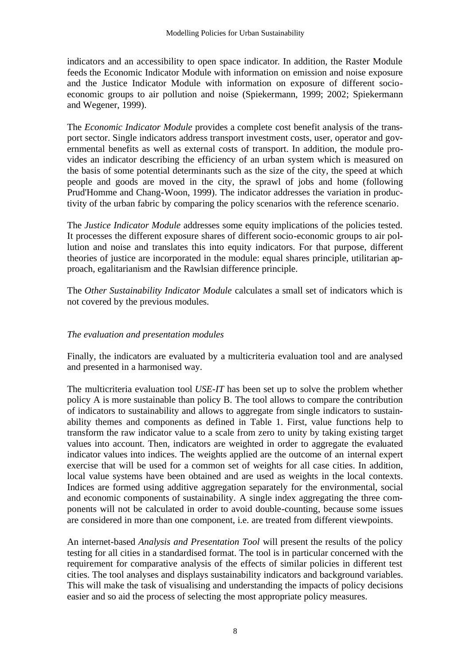indicators and an accessibility to open space indicator. In addition, the Raster Module feeds the Economic Indicator Module with information on emission and noise exposure and the Justice Indicator Module with information on exposure of different socioeconomic groups to air pollution and noise (Spiekermann, 1999; 2002; Spiekermann and Wegener, 1999).

The *Economic Indicator Module* provides a complete cost benefit analysis of the transport sector. Single indicators address transport investment costs, user, operator and governmental benefits as well as external costs of transport. In addition, the module provides an indicator describing the efficiency of an urban system which is measured on the basis of some potential determinants such as the size of the city, the speed at which people and goods are moved in the city, the sprawl of jobs and home (following Prud'Homme and Chang-Woon, 1999). The indicator addresses the variation in productivity of the urban fabric by comparing the policy scenarios with the reference scenario.

The *Justice Indicator Module* addresses some equity implications of the policies tested. It processes the different exposure shares of different socio-economic groups to air pollution and noise and translates this into equity indicators. For that purpose, different theories of justice are incorporated in the module: equal shares principle, utilitarian approach, egalitarianism and the Rawlsian difference principle.

The *Other Sustainability Indicator Module* calculates a small set of indicators which is not covered by the previous modules.

# *The evaluation and presentation modules*

Finally, the indicators are evaluated by a multicriteria evaluation tool and are analysed and presented in a harmonised way.

The multicriteria evaluation tool *USE-IT* has been set up to solve the problem whether policy A is more sustainable than policy B. The tool allows to compare the contribution of indicators to sustainability and allows to aggregate from single indicators to sustainability themes and components as defined in Table 1. First, value functions help to transform the raw indicator value to a scale from zero to unity by taking existing target values into account. Then, indicators are weighted in order to aggregate the evaluated indicator values into indices. The weights applied are the outcome of an internal expert exercise that will be used for a common set of weights for all case cities. In addition, local value systems have been obtained and are used as weights in the local contexts. Indices are formed using additive aggregation separately for the environmental, social and economic components of sustainability. A single index aggregating the three components will not be calculated in order to avoid double-counting, because some issues are considered in more than one component, i.e. are treated from different viewpoints.

An internet-based *Analysis and Presentation Tool* will present the results of the policy testing for all cities in a standardised format. The tool is in particular concerned with the requirement for comparative analysis of the effects of similar policies in different test cities. The tool analyses and displays sustainability indicators and background variables. This will make the task of visualising and understanding the impacts of policy decisions easier and so aid the process of selecting the most appropriate policy measures.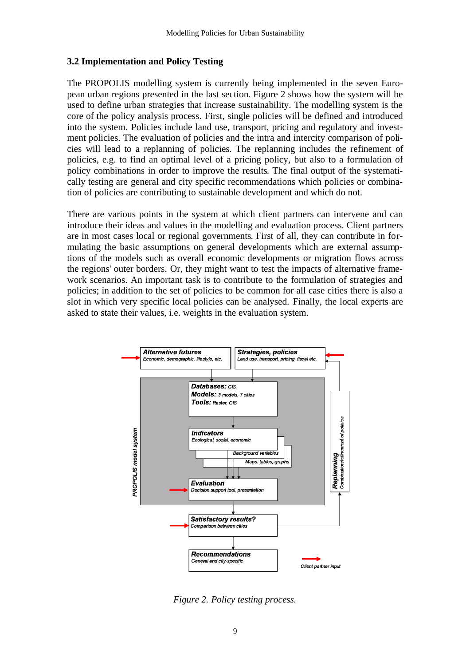#### **3.2 Implementation and Policy Testing**

The PROPOLIS modelling system is currently being implemented in the seven European urban regions presented in the last section. Figure 2 shows how the system will be used to define urban strategies that increase sustainability. The modelling system is the core of the policy analysis process. First, single policies will be defined and introduced into the system. Policies include land use, transport, pricing and regulatory and investment policies. The evaluation of policies and the intra and intercity comparison of policies will lead to a replanning of policies. The replanning includes the refinement of policies, e.g. to find an optimal level of a pricing policy, but also to a formulation of policy combinations in order to improve the results. The final output of the systematically testing are general and city specific recommendations which policies or combination of policies are contributing to sustainable development and which do not.

There are various points in the system at which client partners can intervene and can introduce their ideas and values in the modelling and evaluation process. Client partners are in most cases local or regional governments. First of all, they can contribute in formulating the basic assumptions on general developments which are external assumptions of the models such as overall economic developments or migration flows across the regions' outer borders. Or, they might want to test the impacts of alternative framework scenarios. An important task is to contribute to the formulation of strategies and policies; in addition to the set of policies to be common for all case cities there is also a slot in which very specific local policies can be analysed. Finally, the local experts are asked to state their values, i.e. weights in the evaluation system.



*Figure 2. Policy testing process.*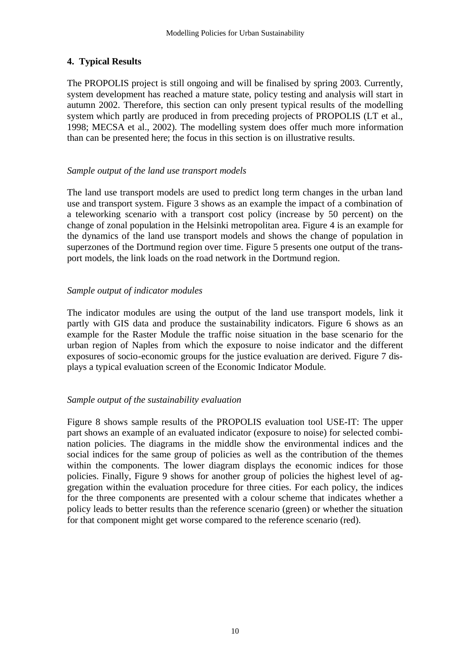# **4. Typical Results**

The PROPOLIS project is still ongoing and will be finalised by spring 2003. Currently, system development has reached a mature state, policy testing and analysis will start in autumn 2002. Therefore, this section can only present typical results of the modelling system which partly are produced in from preceding projects of PROPOLIS (LT et al., 1998; MECSA et al., 2002). The modelling system does offer much more information than can be presented here; the focus in this section is on illustrative results.

### *Sample output of the land use transport models*

The land use transport models are used to predict long term changes in the urban land use and transport system. Figure 3 shows as an example the impact of a combination of a teleworking scenario with a transport cost policy (increase by 50 percent) on the change of zonal population in the Helsinki metropolitan area. Figure 4 is an example for the dynamics of the land use transport models and shows the change of population in superzones of the Dortmund region over time. Figure 5 presents one output of the transport models, the link loads on the road network in the Dortmund region.

# *Sample output of indicator modules*

The indicator modules are using the output of the land use transport models, link it partly with GIS data and produce the sustainability indicators. Figure 6 shows as an example for the Raster Module the traffic noise situation in the base scenario for the urban region of Naples from which the exposure to noise indicator and the different exposures of socio-economic groups for the justice evaluation are derived. Figure 7 displays a typical evaluation screen of the Economic Indicator Module.

# *Sample output of the sustainability evaluation*

Figure 8 shows sample results of the PROPOLIS evaluation tool USE-IT: The upper part shows an example of an evaluated indicator (exposure to noise) for selected combination policies. The diagrams in the middle show the environmental indices and the social indices for the same group of policies as well as the contribution of the themes within the components. The lower diagram displays the economic indices for those policies. Finally, Figure 9 shows for another group of policies the highest level of aggregation within the evaluation procedure for three cities. For each policy, the indices for the three components are presented with a colour scheme that indicates whether a policy leads to better results than the reference scenario (green) or whether the situation for that component might get worse compared to the reference scenario (red).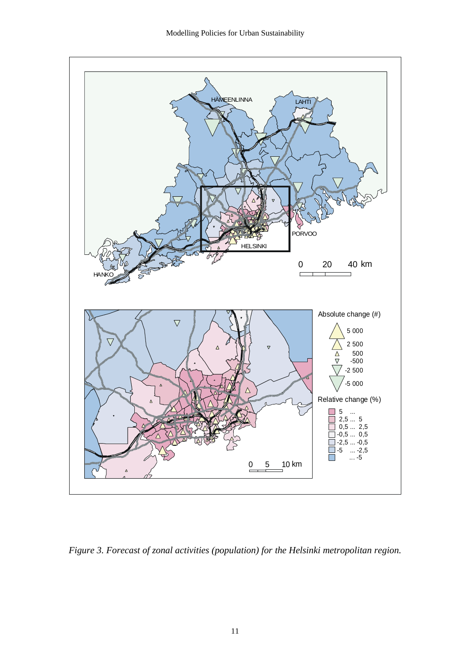

*Figure 3. Forecast of zonal activities (population) for the Helsinki metropolitan region.*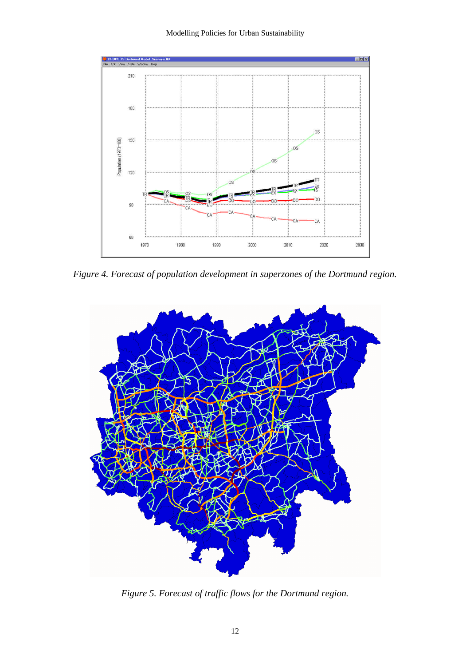#### Modelling Policies for Urban Sustainability



*Figure 4. Forecast of population development in superzones of the Dortmund region.*



*Figure 5. Forecast of traffic flows for the Dortmund region.*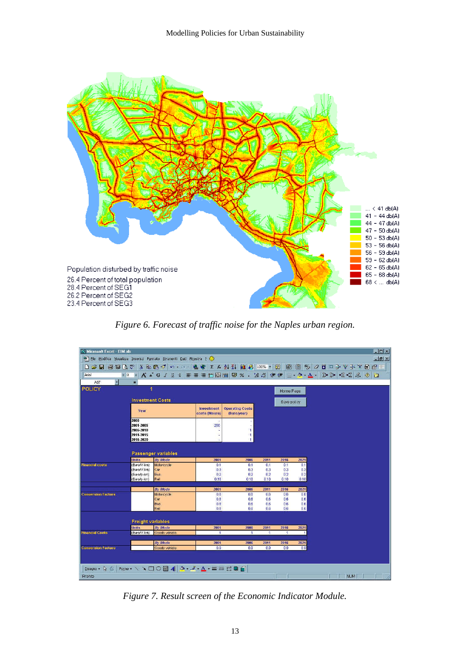

*Figure 6. Forecast of traffic noise for the Naples urban region.*

| <b>Wicrosoft Excel - EIM.xls</b>                                                     |                            |                                                                      |                   |                        |              |                      |            |  |  |            | <b>EIGIX</b>                           |
|--------------------------------------------------------------------------------------|----------------------------|----------------------------------------------------------------------|-------------------|------------------------|--------------|----------------------|------------|--|--|------------|----------------------------------------|
| <sup>58</sup> File Modifica Visualizza Inserisci Formato Strumenti Dati Finestra ? C |                            |                                                                      |                   |                        |              |                      |            |  |  |            | $\blacksquare$ $\blacksquare$ $\times$ |
| 口本日番餐区》 人物通过 いっぺ - 鳥令 エル外科 血承 100% - 切   商   商   乡 クロロンサンド通信                         |                            |                                                                      |                   |                        |              |                      |            |  |  |            |                                        |
|                                                                                      |                            |                                                                      |                   |                        |              |                      |            |  |  |            |                                        |
| Arial                                                                                |                            | *8 * A * G / S * 事事理田国国 59 % · 38 3 年年 □ · 5 · A · B D · 3 名 6 △ 0 △ |                   |                        |              |                      |            |  |  |            |                                        |
| $\overline{\phantom{a}}$<br>A37                                                      | m.                         |                                                                      |                   |                        |              |                      |            |  |  |            |                                        |
| <b>POLICY</b>                                                                        | $\overline{1}$             |                                                                      |                   |                        |              | Home Page            |            |  |  |            |                                        |
|                                                                                      |                            |                                                                      |                   |                        |              |                      |            |  |  |            |                                        |
|                                                                                      |                            | <b>Investment Costs</b><br>Save policy                               |                   |                        |              |                      |            |  |  |            |                                        |
|                                                                                      |                            |                                                                      | Investment        | <b>Operating Costs</b> |              |                      |            |  |  |            |                                        |
|                                                                                      | Year                       |                                                                      | costs (Meuro)     | (Euro/year)            |              |                      |            |  |  |            |                                        |
|                                                                                      | 2000                       |                                                                      |                   |                        |              |                      |            |  |  |            |                                        |
|                                                                                      | 2001-2005                  |                                                                      | 250               |                        |              |                      |            |  |  |            |                                        |
|                                                                                      | 2006-2010                  |                                                                      |                   | ٦                      |              |                      |            |  |  |            |                                        |
|                                                                                      | 2011-2015<br>2016-2020     |                                                                      | ż                 | া<br>ণ                 |              |                      |            |  |  |            |                                        |
|                                                                                      |                            |                                                                      |                   |                        |              |                      |            |  |  |            |                                        |
|                                                                                      |                            |                                                                      |                   |                        |              |                      |            |  |  |            |                                        |
|                                                                                      |                            | Passenger variables                                                  |                   |                        |              |                      |            |  |  |            |                                        |
|                                                                                      | <b>Units</b>               | By Mode                                                              | 2001              | 2006                   | 2011         | 2816                 | 2021       |  |  |            |                                        |
| <b>Financial costs</b>                                                               | (Euro/V-km)                | Motorcycle                                                           | 0.1               | 0.1                    | 0.1          | 0.1                  | 0.1        |  |  |            |                                        |
|                                                                                      | (Euro/V-km)                | Car<br><b>Bus</b>                                                    | 0.3<br>0.2        | 0.3<br>0.2             | 0.3<br>0.2   | 0.3<br>0.2           | 0.3<br>0.2 |  |  |            |                                        |
|                                                                                      | (Euro/p-km)<br>(Euro/p-km) | Rail                                                                 | 0.18              | 0.18                   | 0.18         | 0.18                 | 0.18       |  |  |            |                                        |
|                                                                                      |                            |                                                                      |                   |                        |              |                      |            |  |  |            |                                        |
|                                                                                      |                            | By Mode                                                              | 2001              | 2006                   | 2011         | 2016                 | 2021       |  |  |            |                                        |
| <b>Conversion Factors</b>                                                            |                            | Motorcycle                                                           | 0.8               | 0.6                    | 0.6          | 0.6                  | 0.6        |  |  |            |                                        |
|                                                                                      |                            | Car                                                                  | 0.8               | 0.6                    | 0.6          | 0.6                  | 0.6        |  |  |            |                                        |
|                                                                                      |                            | <b>Bus</b><br>Rail                                                   | 0.8<br>0.8        | 0.6<br>0.6             | 0.6<br>0.6   | 0.6<br>0.6           | 0.6<br>0.6 |  |  |            |                                        |
|                                                                                      |                            |                                                                      |                   |                        |              |                      |            |  |  |            |                                        |
|                                                                                      |                            |                                                                      |                   |                        |              |                      |            |  |  |            |                                        |
|                                                                                      | <b>Freight variables</b>   |                                                                      |                   |                        |              |                      |            |  |  |            |                                        |
|                                                                                      | Units                      | By Mode                                                              | 2001<br>$\Lambda$ | 2006<br>$\mathbf{A}$   | 2811         | 2016<br>$\mathbf{A}$ | 2021       |  |  |            |                                        |
| <b>Financial Costs</b>                                                               | (Euro/V-km)                | Goods vehicle                                                        |                   |                        | $\mathbf{1}$ |                      | и          |  |  |            |                                        |
|                                                                                      |                            | <b>By Mode</b>                                                       | 2001              | 2006                   | 2011         | 2016                 | 2021       |  |  |            |                                        |
| <b>Conversion Factors</b>                                                            |                            | Goods vehicle                                                        | 0.9               | 0.9                    | 0.9          | 0.9                  | 0.9        |  |  |            |                                        |
|                                                                                      |                            |                                                                      |                   |                        |              |                      |            |  |  |            |                                        |
|                                                                                      |                            |                                                                      |                   |                        |              |                      |            |  |  |            |                                        |
|                                                                                      |                            |                                                                      |                   |                        |              |                      |            |  |  |            |                                        |
| Disegno $\star$ $\&$ $\circ$                                                         |                            | Forme · \ \ $\Box$ ○ 圖 4 3 · 3 · A · 三三 弓 口 個                        |                   |                        |              |                      |            |  |  |            |                                        |
| Pronto                                                                               |                            |                                                                      |                   |                        |              |                      |            |  |  | <b>NUM</b> |                                        |

*Figure 7. Result screen of the Economic Indicator Module.*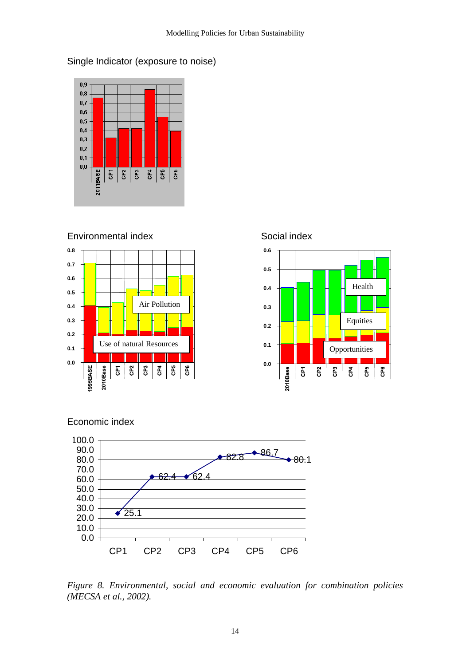



Environmental index Social index





Economic index



*Figure 8. Environmental, social and economic evaluation for combination policies (MECSA et al., 2002).*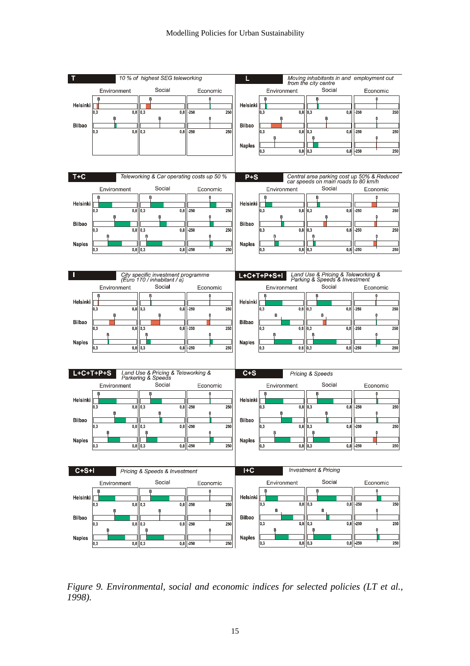

*Figure 9. Environmental, social and economic indices for selected policies (LT et al., 1998).*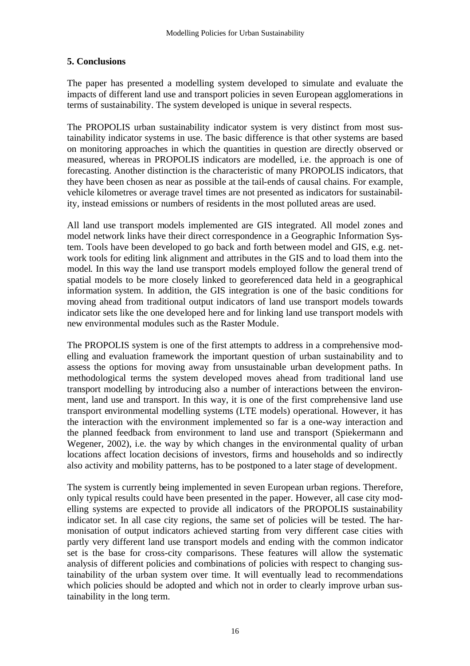# **5. Conclusions**

The paper has presented a modelling system developed to simulate and evaluate the impacts of different land use and transport policies in seven European agglomerations in terms of sustainability. The system developed is unique in several respects.

The PROPOLIS urban sustainability indicator system is very distinct from most sustainability indicator systems in use. The basic difference is that other systems are based on monitoring approaches in which the quantities in question are directly observed or measured, whereas in PROPOLIS indicators are modelled, i.e. the approach is one of forecasting. Another distinction is the characteristic of many PROPOLIS indicators, that they have been chosen as near as possible at the tail-ends of causal chains. For example, vehicle kilometres or average travel times are not presented as indicators for sustainability, instead emissions or numbers of residents in the most polluted areas are used.

All land use transport models implemented are GIS integrated. All model zones and model network links have their direct correspondence in a Geographic Information System. Tools have been developed to go back and forth between model and GIS, e.g. network tools for editing link alignment and attributes in the GIS and to load them into the model. In this way the land use transport models employed follow the general trend of spatial models to be more closely linked to georeferenced data held in a geographical information system. In addition, the GIS integration is one of the basic conditions for moving ahead from traditional output indicators of land use transport models towards indicator sets like the one developed here and for linking land use transport models with new environmental modules such as the Raster Module.

The PROPOLIS system is one of the first attempts to address in a comprehensive modelling and evaluation framework the important question of urban sustainability and to assess the options for moving away from unsustainable urban development paths. In methodological terms the system developed moves ahead from traditional land use transport modelling by introducing also a number of interactions between the environment, land use and transport. In this way, it is one of the first comprehensive land use transport environmental modelling systems (LTE models) operational. However, it has the interaction with the environment implemented so far is a one-way interaction and the planned feedback from environment to land use and transport (Spiekermann and Wegener, 2002), i.e. the way by which changes in the environmental quality of urban locations affect location decisions of investors, firms and households and so indirectly also activity and mobility patterns, has to be postponed to a later stage of development.

The system is currently being implemented in seven European urban regions. Therefore, only typical results could have been presented in the paper. However, all case city modelling systems are expected to provide all indicators of the PROPOLIS sustainability indicator set. In all case city regions, the same set of policies will be tested. The harmonisation of output indicators achieved starting from very different case cities with partly very different land use transport models and ending with the common indicator set is the base for cross-city comparisons. These features will allow the systematic analysis of different policies and combinations of policies with respect to changing sustainability of the urban system over time. It will eventually lead to recommendations which policies should be adopted and which not in order to clearly improve urban sustainability in the long term.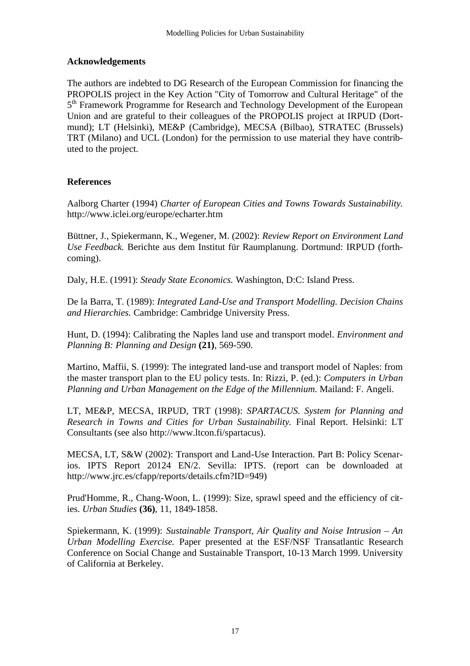### **Acknowledgements**

The authors are indebted to DG Research of the European Commission for financing the PROPOLIS project in the Key Action "City of Tomorrow and Cultural Heritage" of the 5<sup>th</sup> Framework Programme for Research and Technology Development of the European Union and are grateful to their colleagues of the PROPOLIS project at IRPUD (Dortmund); LT (Helsinki), ME&P (Cambridge), MECSA (Bilbao), STRATEC (Brussels) TRT (Milano) and UCL (London) for the permission to use material they have contributed to the project.

### **References**

Aalborg Charter (1994) *Charter of European Cities and Towns Towards Sustainability.* http://www.iclei.org/europe/echarter.htm

Büttner, J., Spiekermann, K., Wegener, M. (2002): *Review Report on Environment Land Use Feedback.* Berichte aus dem Institut für Raumplanung. Dortmund: IRPUD (forthcoming).

Daly, H.E. (1991): *Steady State Economics.* Washington, D:C: Island Press.

De la Barra, T. (1989): *Integrated Land-Use and Transport Modelling. Decision Chains and Hierarchies.* Cambridge: Cambridge University Press.

Hunt, D. (1994): Calibrating the Naples land use and transport model. *Environment and Planning B: Planning and Design* **(21)**, 569-590.

Martino, Maffii, S. (1999): The integrated land-use and transport model of Naples: from the master transport plan to the EU policy tests. In: Rizzi, P. (ed.): *Computers in Urban Planning and Urban Management on the Edge of the Millennium*. Mailand: F. Angeli.

LT, ME&P, MECSA, IRPUD, TRT (1998): *SPARTACUS. System for Planning and Research in Towns and Cities for Urban Sustainability.* Final Report. Helsinki: LT Consultants (see also http://www.ltcon.fi/spartacus).

MECSA, LT, S&W (2002): Transport and Land-Use Interaction. Part B: Policy Scenarios. IPTS Report 20124 EN/2. Sevilla: IPTS. (report can be downloaded at http://www.jrc.es/cfapp/reports/details.cfm?ID=949)

Prud'Homme, R., Chang-Woon, L. (1999): Size, sprawl speed and the efficiency of cities. *Urban Studies* **(36)**, 11, 1849-1858.

Spiekermann, K. (1999): *Sustainable Transport, Air Quality and Noise Intrusion – An Urban Modelling Exercise.* Paper presented at the ESF/NSF Transatlantic Research Conference on Social Change and Sustainable Transport, 10-13 March 1999. University of California at Berkeley.